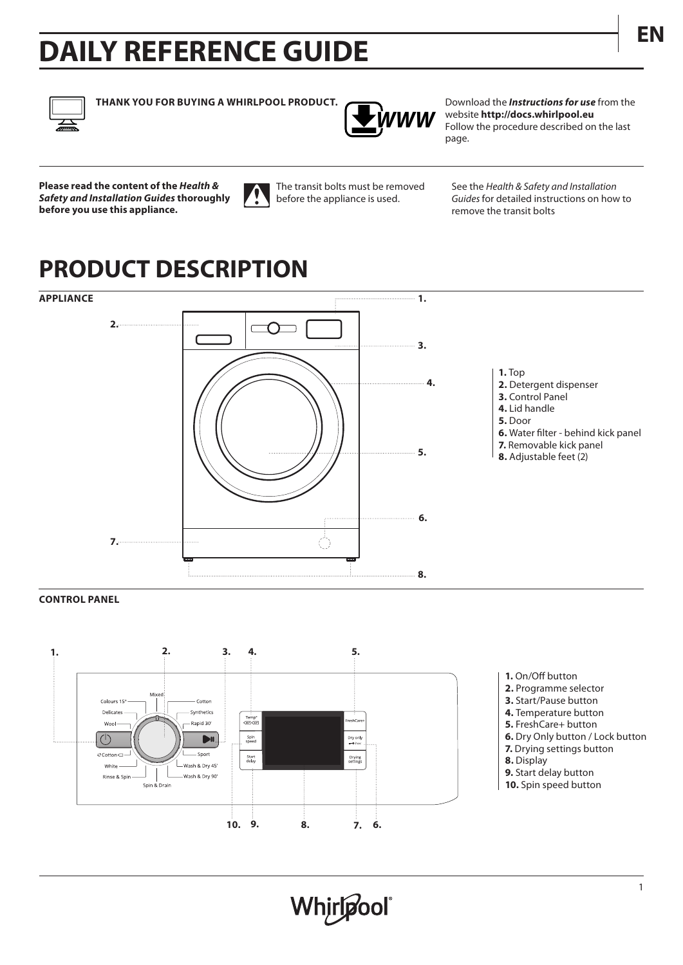# **ENCORAGEMENT DAILY REFERENCE GUIDE**



**THANK YOU FOR BUYING A WHIRLPOOL PRODUCT.** Download the *Instructions for use* from the



website **http://docs.whirlpool.eu** Follow the procedure described on the last page.

**Please read the content of the** *Health & Safety and Installation Guides* **thoroughly before you use this appliance.**



The transit bolts must be removed before the appliance is used.

See the *Health & Safety and Installation Guides* for detailed instructions on how to remove the transit bolts

## **PRODUCT DESCRIPTION**



## **CONTROL PANEL**



- **1.** On/Off button
- **2.** Programme selector
- **3.** Start/Pause button
- **4.** Temperature button
- **5.** FreshCare+ button
- **6.** Dry Only button / Lock button
- **7.** Drying settings button
- **8.** Display
- **9.** Start delay button
- **10.** Spin speed button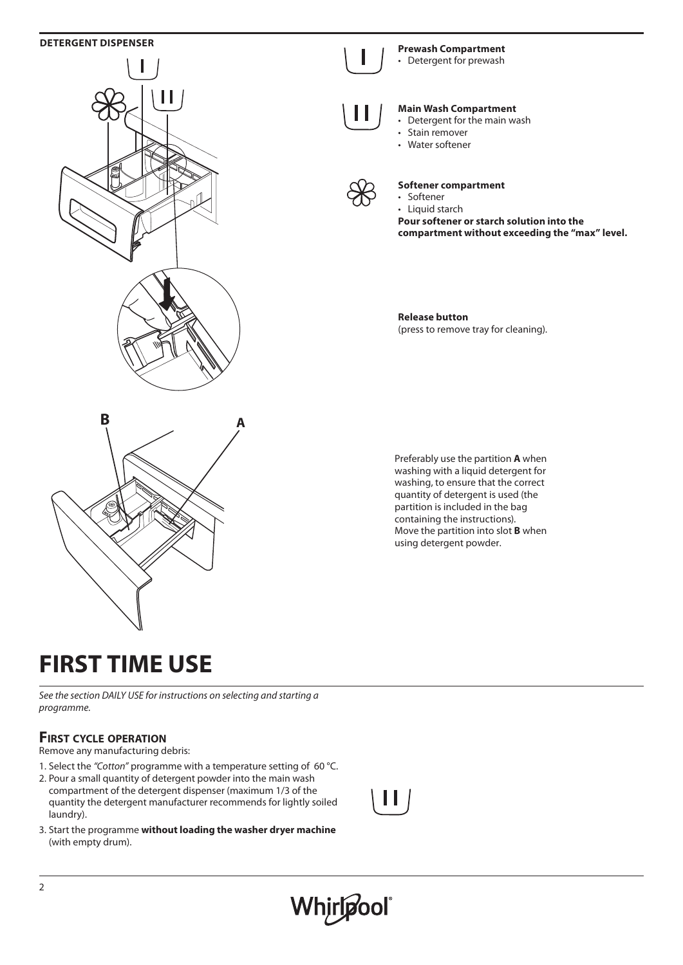## **DETERGENT DISPENSER**



### **Prewash Compartment**  • Detergent for prewash



## **Main Wash Compartment**

- Detergent for the main wash
- Stain remover
- Water softener



## **Softener compartment**

• Softener • Liquid starch **Pour softener or starch solution into the compartment without exceeding the "max" level.**

**Release button** (press to remove tray for cleaning).



Preferably use the partition **A** when washing with a liquid detergent for washing, to ensure that the correct quantity of detergent is used (the partition is included in the bag containing the instructions). Move the partition into slot **B** when using detergent powder.

## **FIRST TIME USE**

*See the section DAILY USE for instructions on selecting and starting a programme.*

## **First cycle operation**

Remove any manufacturing debris:

- 1. Select the *"Cotton"* programme with a temperature setting of 60 °C.
- 2. Pour a small quantity of detergent powder into the main wash compartment of the detergent dispenser (maximum 1/3 of the quantity the detergent manufacturer recommends for lightly soiled laundry).
- 3. Start the programme **without loading the washer dryer machine**  (with empty drum).

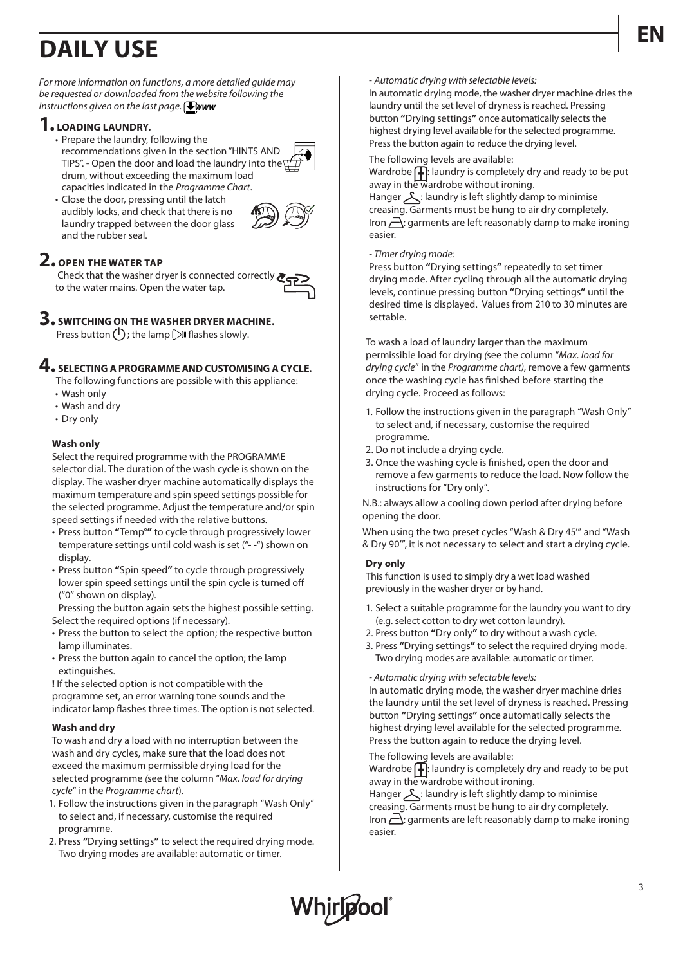## **EN DAILY USE**



*For more information on functions, a more detailed guide may be requested or downloaded from the website following the instructions given on the last page.* **Www** 

## **1. LOADING LAUNDRY.**

- Prepare the laundry, following the recommendations given in the section "HINTS AND TIPS". - Open the door and load the laundry into the  $\overline{\beta}$ drum, without exceeding the maximum load capacities indicated in the *Programme Chart*.
- Close the door, pressing until the latch audibly locks, and check that there is no laundry trapped between the door glass and the rubber seal.



## **2. OPEN THE WATER TAP**

 Check that the washer dryer is connected correctly to the water mains. Open the water tap.



### **3. SWITCHING ON THE WASHER DRYER MACHINE.** Press button ( $\vert$ ); the lamp  $\vert$  flashes slowly.

## **4. SELECTING A PROGRAMME AND CUSTOMISING A CYCLE.**

The following functions are possible with this appliance:

- Wash only
- Wash and dry
- Dry only

## **Wash only**

Select the required programme with the PROGRAMME selector dial. The duration of the wash cycle is shown on the display. The washer dryer machine automatically displays the maximum temperature and spin speed settings possible for the selected programme. Adjust the temperature and/or spin speed settings if needed with the relative buttons.

- Press button **"**Temp°**"** to cycle through progressively lower temperature settings until cold wash is set ("**- -**") shown on display.
- Press button **"**Spin speed**"** to cycle through progressively lower spin speed settings until the spin cycle is turned off ("0" shown on display).

Pressing the button again sets the highest possible setting. Select the required options (if necessary).

- Press the button to select the option; the respective button lamp illuminates.
- Press the button again to cancel the option; the lamp extinguishes.

**!** If the selected option is not compatible with the programme set, an error warning tone sounds and the indicator lamp flashes three times. The option is not selected.

## **Wash and dry**

To wash and dry a load with no interruption between the wash and dry cycles, make sure that the load does not exceed the maximum permissible drying load for the selected programme *(*see the column "*Max. load for drying cycle*" in the *Programme chart*).

- 1. Follow the instructions given in the paragraph "Wash Only" to select and, if necessary, customise the required programme.
- 2. Press **"**Drying settings**"** to select the required drying mode. Two drying modes are available: automatic or timer.

## - *Automatic drying with selectable levels:*

In automatic drying mode, the washer dryer machine dries the laundry until the set level of dryness is reached. Pressing button **"**Drying settings**"** once automatically selects the highest drying level available for the selected programme. Press the button again to reduce the drying level.

The following levels are available:

Wardrobe  $\Box$ : laundry is completely dry and ready to be put away in the wardrobe without ironing.

Hanger  $\lambda$ : laundry is left slightly damp to minimise creasing. Garments must be hung to air dry completely. Iron  $\overline{\triangle}$ : garments are left reasonably damp to make ironing easier.

### *- Timer drying mode:*

Press button **"**Drying settings**"** repeatedly to set timer drying mode. After cycling through all the automatic drying levels, continue pressing button **"**Drying settings**"** until the desired time is displayed. Values from 210 to 30 minutes are settable.

To wash a load of laundry larger than the maximum permissible load for drying *(*see the column "*Max. load for drying cycle*" in the *Programme chart)*, remove a few garments once the washing cycle has finished before starting the drying cycle. Proceed as follows:

- 1. Follow the instructions given in the paragraph "Wash Only" to select and, if necessary, customise the required programme.
- 2. Do not include a drying cycle.
- 3. Once the washing cycle is finished, open the door and remove a few garments to reduce the load. Now follow the instructions for "Dry only".

N.B.: always allow a cooling down period after drying before opening the door.

When using the two preset cycles "Wash & Dry 45'" and "Wash & Dry 90'", it is not necessary to select and start a drying cycle.

## **Dry only**

This function is used to simply dry a wet load washed previously in the washer dryer or by hand.

- 1. Select a suitable programme for the laundry you want to dry (e.g. select cotton to dry wet cotton laundry).
- 2. Press button **"**Dry only**"** to dry without a wash cycle.
- 3. Press **"**Drying settings**"** to select the required drying mode. Two drying modes are available: automatic or timer.

*- Automatic drying with selectable levels:*

In automatic drying mode, the washer dryer machine dries the laundry until the set level of dryness is reached. Pressing button **"**Drying settings**"** once automatically selects the highest drying level available for the selected programme. Press the button again to reduce the drying level.

The following levels are available:

Wardrobe  $\left[\cdot\right]$ : laundry is completely dry and ready to be put away in the wardrobe without ironing.

Hanger  $\triangle$ : laundry is left slightly damp to minimise creasing. Garments must be hung to air dry completely. Iron  $\sum$ : garments are left reasonably damp to make ironing easier.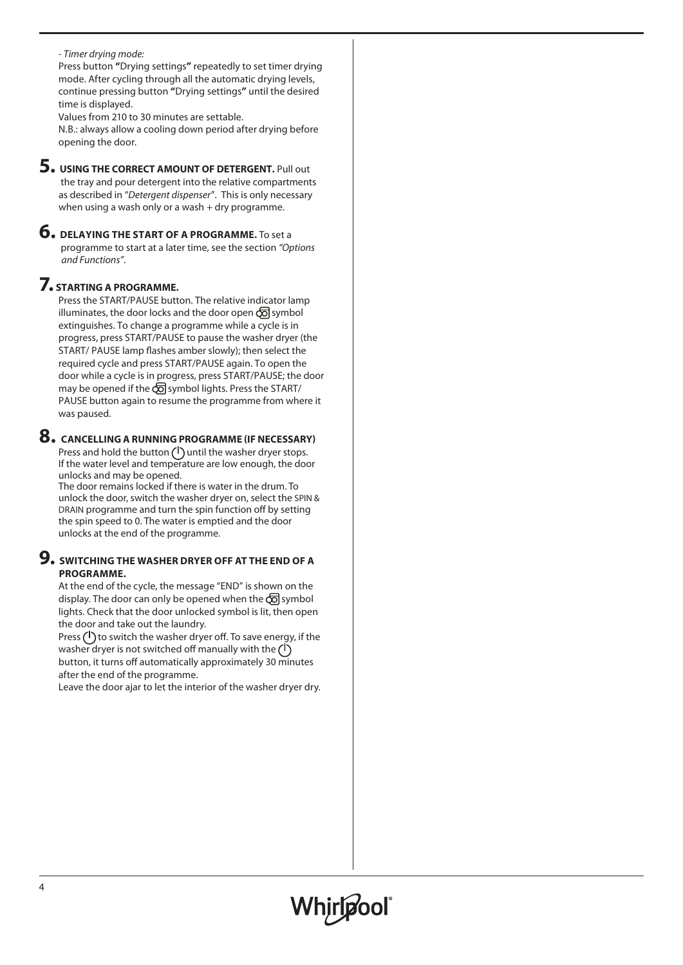## *- Timer drying mode:*

Press button **"**Drying settings**"** repeatedly to set timer drying mode. After cycling through all the automatic drying levels, continue pressing button **"**Drying settings**"** until the desired time is displayed.

Values from 210 to 30 minutes are settable.

N.B.: always allow a cooling down period after drying before opening the door.

- **5. USING THE CORRECT AMOUNT OF DETERGENT.** Pull out the tray and pour detergent into the relative compartments as described in "*Detergent dispenser*". This is only necessary when using a wash only or a wash + dry programme.
- **6. DELAYING THE START OF A PROGRAMME.** To set a programme to start at a later time, see the section *"Options and Functions"*.

## **7. STARTING A PROGRAMME.**

Press the START/PAUSE button. The relative indicator lamp illuminates, the door locks and the door open  $\overline{\odot}$  symbol extinguishes. To change a programme while a cycle is in progress, press START/PAUSE to pause the washer dryer (the START/ PAUSE lamp flashes amber slowly); then select the required cycle and press START/PAUSE again. To open the door while a cycle is in progress, press START/PAUSE; the door may be opened if the  $\overline{\odot}$  symbol lights. Press the START/ PAUSE button again to resume the programme from where it was paused.

## **8. CANCELLING A RUNNING PROGRAMME (IF NECESSARY)**

Press and hold the button  $\binom{1}{1}$  until the washer dryer stops. If the water level and temperature are low enough, the door unlocks and may be opened.

The door remains locked if there is water in the drum. To unlock the door, switch the washer dryer on, select the SPIN & DRAIN programme and turn the spin function off by setting the spin speed to 0. The water is emptied and the door unlocks at the end of the programme.

## **9. SWITCHING THE WASHER DRYER OFF AT THE END OF A PROGRAMME.**

At the end of the cycle, the message "END" is shown on the display. The door can only be opened when the  $\overline{\text{CD}}$  symbol lights. Check that the door unlocked symbol is lit, then open the door and take out the laundry.

Press  $(1)$  to switch the washer dryer off. To save energy, if the washer dryer is not switched off manually with the  $(1)$ button, it turns off automatically approximately 30 minutes after the end of the programme.

Leave the door ajar to let the interior of the washer dryer dry.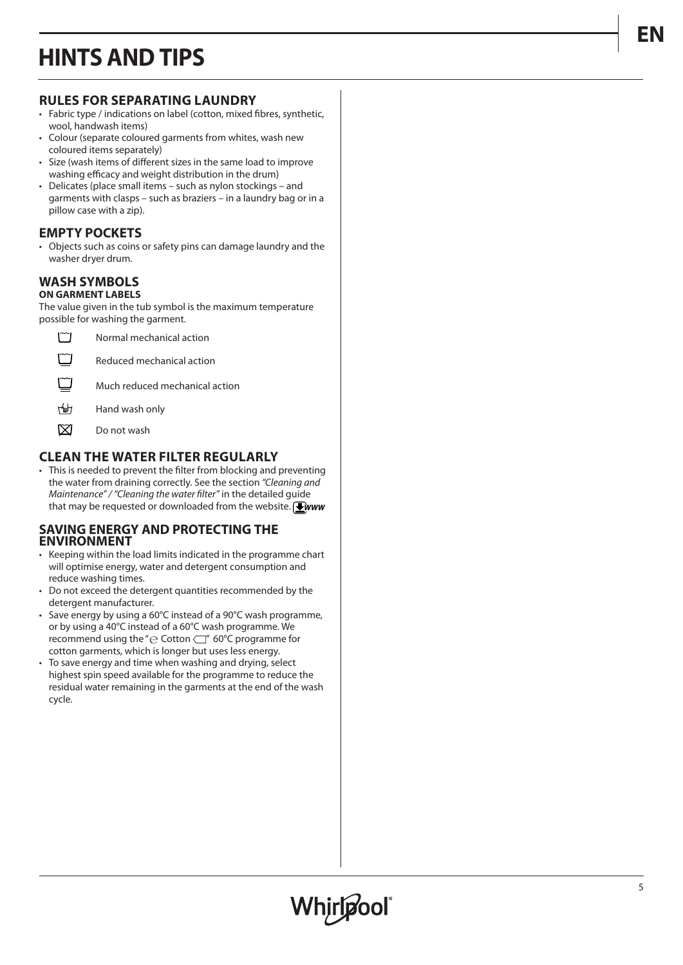## **HINTS AND TIPS**

## **RULES FOR SEPARATING LAUNDRY**

- Fabric type / indications on label (cotton, mixed fibres, synthetic, wool, handwash items)
- Colour (separate coloured garments from whites, wash new coloured items separately)
- Size (wash items of different sizes in the same load to improve washing efficacy and weight distribution in the drum)
- Delicates (place small items such as nylon stockings and garments with clasps – such as braziers – in a laundry bag or in a pillow case with a zip).

## **EMPTY POCKETS**

• Objects such as coins or safety pins can damage laundry and the washer dryer drum.

### **WASH SYMBOLS ON GARMENT LABELS**

The value given in the tub symbol is the maximum temperature possible for washing the garment.



- $t^2$ Hand wash only
- $\boxtimes$ Do not wash

## **CLEAN THE WATER FILTER REGULARLY**

• This is needed to prevent the filter from blocking and preventing the water from draining correctly. See the section *"Cleaning and Maintenance" / "Cleaning the water filter"* in the detailed guide that may be requested or downloaded from the website. *WWW*

## **SAVING ENERGY AND PROTECTING THE ENVIRONMENT**

- Keeping within the load limits indicated in the programme chart will optimise energy, water and detergent consumption and reduce washing times.
- Do not exceed the detergent quantities recommended by the detergent manufacturer.
- Save energy by using a 60°C instead of a 90°C wash programme, or by using a 40°C instead of a 60°C wash programme. We recommend using the " $\ominus$  Cotton  $\Box$ " 60°C programme for cotton garments, which is longer but uses less energy.
- To save energy and time when washing and drying, select highest spin speed available for the programme to reduce the residual water remaining in the garments at the end of the wash cycle.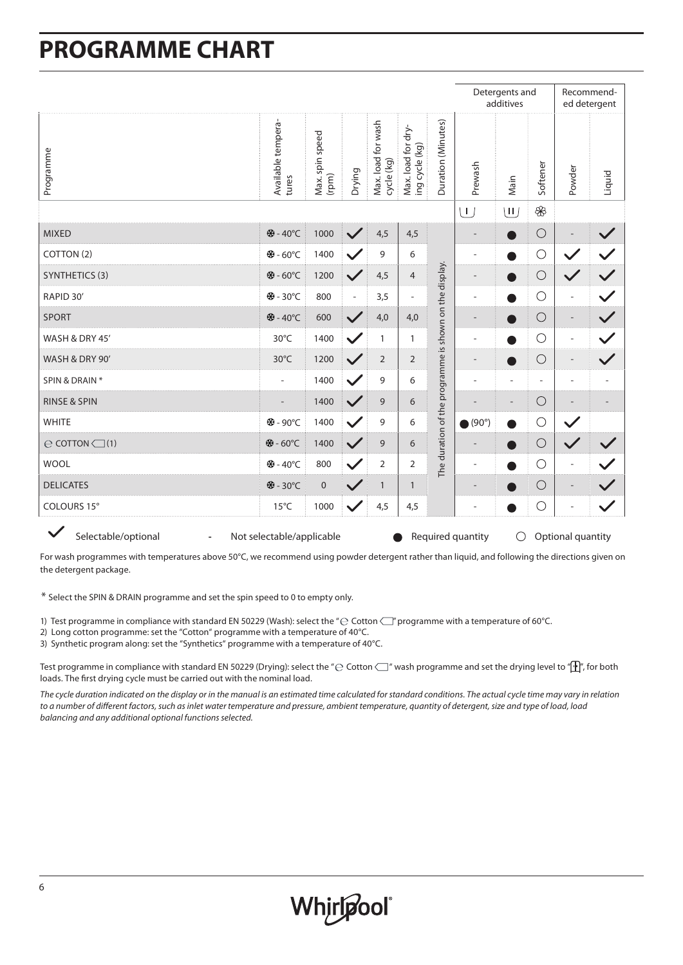## **PROGRAMME CHART**

|                                                                                                                   |                             |                          |              |                                  |                                      | Detergents and<br>additives                           |                          |                                 | Recommend-<br>ed detergent |                          |                          |
|-------------------------------------------------------------------------------------------------------------------|-----------------------------|--------------------------|--------------|----------------------------------|--------------------------------------|-------------------------------------------------------|--------------------------|---------------------------------|----------------------------|--------------------------|--------------------------|
| Programme                                                                                                         | Available tempera-<br>tures | Max. spin speed<br>(rpm) | Drying       | Max. load for wash<br>cycle (kg) | Max. load for dry-<br>ing cycle (kg) | Duration (Minutes)                                    | Prewash                  | Main                            | Softener                   | Powder                   | Liquid                   |
|                                                                                                                   |                             |                          |              |                                  |                                      |                                                       |                          | $\overline{\mathsf{u}}$         | $\circledast$              |                          |                          |
| <b>MIXED</b>                                                                                                      | ※-40°C                      | 1000                     | $\checkmark$ | 4,5                              | 4,5                                  |                                                       | $\qquad \qquad -$        | D                               | $\bigcirc$                 | $\overline{\phantom{m}}$ | $\checkmark$             |
| COTTON (2)                                                                                                        | ※-60°C                      | 1400                     | $\checkmark$ | 9                                | 6                                    |                                                       | ÷                        | D                               | $\bigcirc$                 | $\checkmark$             | $\checkmark$             |
| <b>SYNTHETICS (3)</b>                                                                                             | ※-60°C                      | 1200                     | $\checkmark$ | 4,5                              | $\overline{4}$                       |                                                       | $\qquad \qquad -$        |                                 | $\bigcirc$                 | $\checkmark$             | $\checkmark$             |
| RAPID 30'                                                                                                         | ※-30°C                      | 800                      | $\sim$       | 3,5                              | $\overline{\phantom{a}}$             |                                                       | ÷                        | ●                               | $\bigcirc$                 | $\overline{\phantom{a}}$ | $\checkmark$             |
| <b>SPORT</b>                                                                                                      | ※-40°C                      | 600                      | $\checkmark$ | 4,0                              | 4,0                                  |                                                       | $\overline{a}$           | Ð                               | $\bigcirc$                 | $\overline{\phantom{a}}$ | $\checkmark$             |
| WASH & DRY 45'                                                                                                    | 30°C                        | 1400                     | $\checkmark$ | 1                                | $\mathbf{1}$                         |                                                       | ÷,                       | D                               | $\bigcirc$                 | $\overline{\phantom{a}}$ | $\checkmark$             |
| WASH & DRY 90'                                                                                                    | 30°C                        | 1200                     | $\checkmark$ | $\overline{2}$                   | $\overline{2}$                       |                                                       | $\overline{a}$           | D                               | $\bigcirc$                 | $\overline{\phantom{a}}$ | $\checkmark$             |
| SPIN & DRAIN *                                                                                                    | $\bar{a}$                   | 1400                     | $\checkmark$ | 9                                | 6                                    | The duration of the programme is shown on the display | $\overline{\phantom{a}}$ | $\overline{\phantom{a}}$        | ä,                         | $\overline{\phantom{a}}$ | $\overline{\phantom{a}}$ |
| <b>RINSE &amp; SPIN</b>                                                                                           |                             | 1400                     | $\checkmark$ | 9                                | 6                                    |                                                       |                          | $\overline{\phantom{a}}$        | $\bigcirc$                 | $\overline{\phantom{a}}$ |                          |
| <b>WHITE</b>                                                                                                      | ※-90°C                      | 1400                     | $\checkmark$ | 9                                | 6                                    |                                                       | $\bigcirc$ (90°)         | n                               | $\bigcirc$                 | $\checkmark$             |                          |
| $\ominus$ COTTON $\bigcirc$ (1)                                                                                   | ※-60°C                      | 1400                     | $\checkmark$ | 9                                | 6                                    |                                                       | $\overline{\phantom{a}}$ | D                               | $\bigcirc$                 | $\checkmark$             |                          |
| <b>WOOL</b>                                                                                                       | ※-40°C                      | 800                      | $\checkmark$ | $\overline{2}$                   | $\overline{2}$                       |                                                       | $\overline{a}$           | D                               | $\bigcirc$                 | $\overline{\phantom{a}}$ | $\checkmark$             |
| <b>DELICATES</b>                                                                                                  | ※-30°C                      | $\pmb{0}$                | $\checkmark$ | $\mathbf{1}$                     | $\mathbf{1}$                         |                                                       | $\overline{a}$           |                                 | $\bigcirc$                 | $\overline{a}$           | $\checkmark$             |
| COLOURS 15°                                                                                                       | $15^{\circ}$ C              | 1000                     | $\checkmark$ | 4,5                              | 4,5                                  |                                                       | ÷                        | ●                               | $\bigcirc$                 | $\overline{\phantom{a}}$ | $\checkmark$             |
| $\checkmark$<br>Selectable/optional<br>Not selectable/applicable<br>Required quantity<br>$\overline{\phantom{a}}$ |                             |                          |              |                                  |                                      |                                                       |                          | $\bigcirc$<br>Optional quantity |                            |                          |                          |

For wash programmes with temperatures above 50°C, we recommend using powder detergent rather than liquid, and following the directions given on the detergent package.

\* Select the SPIN & DRAIN programme and set the spin speed to 0 to empty only.

- 1) Test programme in compliance with standard EN 50229 (Wash): select the " $\ominus$  Cotton  $\bigcup$ " programme with a temperature of 60°C.
- 2) Long cotton programme: set the "Cotton" programme with a temperature of 40°C.
- 3) Synthetic program along: set the "Synthetics" programme with a temperature of 40°C.

Test programme in compliance with standard EN 50229 (Drying): select the " $\ominus$  Cotton  $\Box$ " wash programme and set the drying level to " $\Box$ ", for both loads. The first drying cycle must be carried out with the nominal load.

*The cycle duration indicated on the display or in the manual is an estimated time calculated for standard conditions. The actual cycle time may vary in relation to a number of different factors, such as inlet water temperature and pressure, ambient temperature, quantity of detergent, size and type of load, load balancing and any additional optional functions selected.*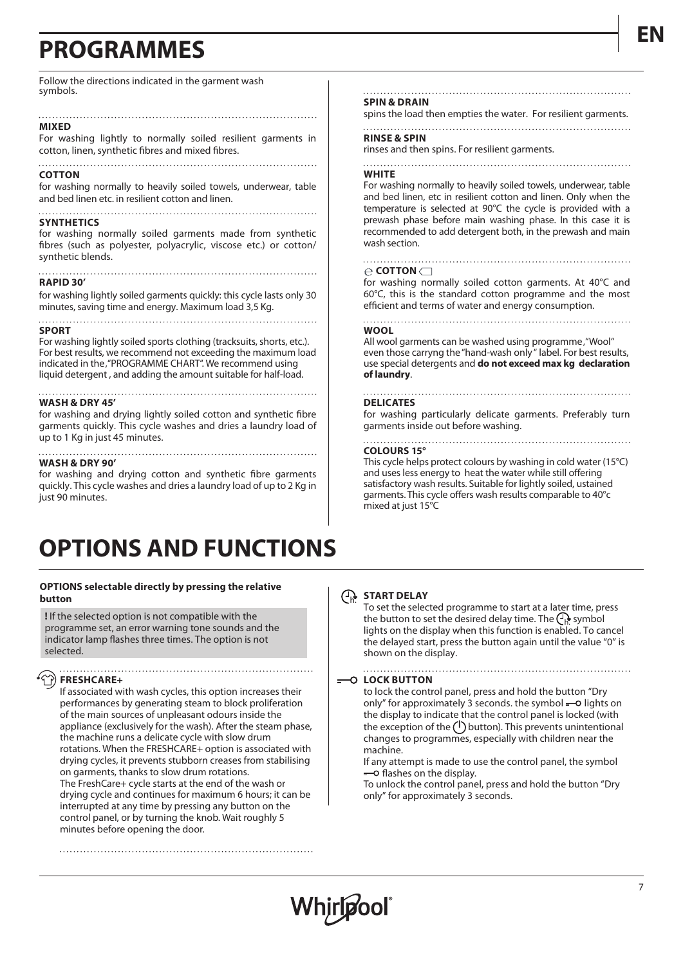## **PROGRAMMES**

Follow the directions indicated in the garment wash symbols.

### **MIXED**

For washing lightly to normally soiled resilient garments in cotton, linen, synthetic fibres and mixed fibres.

#### **COTTON**

for washing normally to heavily soiled towels, underwear, table and bed linen etc. in resilient cotton and linen.

#### 

### **SYNTHETICS**

for washing normally soiled garments made from synthetic fibres (such as polyester, polyacrylic, viscose etc.) or cotton/ synthetic blends.

#### . . . . . . . . . . . . . . . **RAPID 30'**

for washing lightly soiled garments quickly: this cycle lasts only 30 minutes, saving time and energy. Maximum load 3,5 Kg.

### **SPORT**

For washing lightly soiled sports clothing (tracksuits, shorts, etc.). For best results, we recommend not exceeding the maximum load indicated in the, "PROGRAMME CHART". We recommend using liquid detergent , and adding the amount suitable for half-load.

#### **WASH & DRY 45'**

for washing and drying lightly soiled cotton and synthetic fibre garments quickly. This cycle washes and dries a laundry load of up to 1 Kg in just 45 minutes.

### **WASH & DRY 90'**

for washing and drying cotton and synthetic fibre garments quickly. This cycle washes and dries a laundry load of up to 2 Kg in just 90 minutes.

## **OPTIONS AND FUNCTIONS**

### **OPTIONS selectable directly by pressing the relative button**

**!** If the selected option is not compatible with the programme set, an error warning tone sounds and the indicator lamp flashes three times. The option is not selected.

### **FRESHCARE+**

If associated with wash cycles, this option increases their performances by generating steam to block proliferation of the main sources of unpleasant odours inside the appliance (exclusively for the wash). After the steam phase, the machine runs a delicate cycle with slow drum rotations. When the FRESHCARE+ option is associated with drying cycles, it prevents stubborn creases from stabilising on garments, thanks to slow drum rotations. The FreshCare+ cycle starts at the end of the wash or drying cycle and continues for maximum 6 hours; it can be interrupted at any time by pressing any button on the control panel, or by turning the knob. Wait roughly 5 minutes before opening the door.

#### **SPIN & DRAIN**

spins the load then empties the water. For resilient garments.

### **RINSE & SPIN**

rinses and then spins. For resilient garments.

### **WHITE**

For washing normally to heavily soiled towels, underwear, table and bed linen, etc in resilient cotton and linen. Only when the temperature is selected at 90°C the cycle is provided with a prewash phase before main washing phase. In this case it is recommended to add detergent both, in the prewash and main wash section.

#### $\ominus$  **COTTON**

for washing normally soiled cotton garments. At 40°C and 60°C, this is the standard cotton programme and the most efficient and terms of water and energy consumption.

### **WOOL**

All wool garments can be washed using programme, "Wool" even those carryng the "hand-wash only " label. For best results, use special detergents and **do not exceed max kg declaration of laundry**.

#### **DELICATES**

for washing particularly delicate garments. Preferably turn garments inside out before washing.

#### **COLOURS 15°**

This cycle helps protect colours by washing in cold water (15°C) and uses less energy to heat the water while still offering satisfactory wash results. Suitable for lightly soiled, ustained garments. This cycle offers wash results comparable to 40°c mixed at just 15°C

## **START DELAY**  *h.*

To set the selected programme to start at a later time, press the button to set the desired delay time. The *h.* symbol lights on the display when this function is enabled. To cancel the delayed start, press the button again until the value "0" is shown on the display.

## **LOCK BUTTON**

to lock the control panel, press and hold the button "Dry only" for approximately 3 seconds. the symbol  $-$  lights on the display to indicate that the control panel is locked (with the exception of the  $\bigcup$  button). This prevents unintentional changes to programmes, especially with children near the machine.

If any attempt is made to use the control panel, the symbol  $=$  flashes on the display.

To unlock the control panel, press and hold the button "Dry only" for approximately 3 seconds.

## **EN**